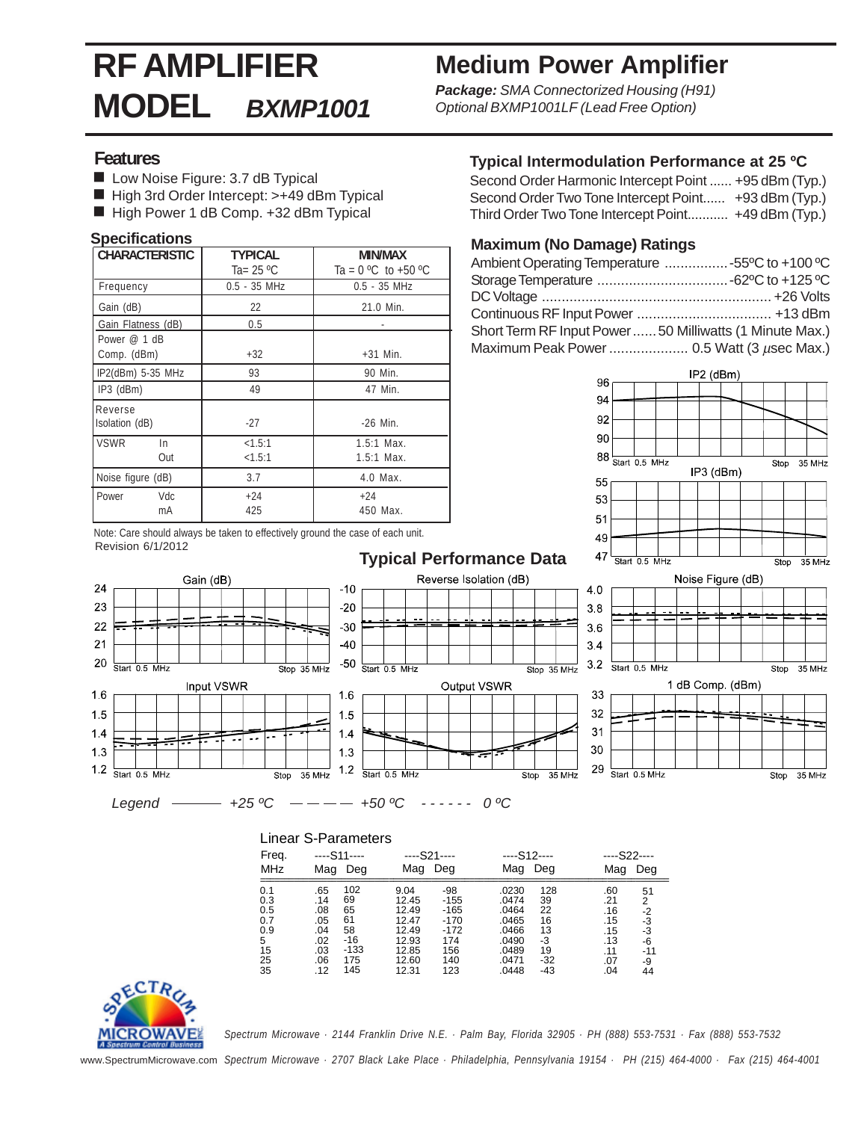# **RF AMPLIFIER MODEL** *BXMP1001*

# **Medium Power Amplifier**

*Package: SMA Connectorized Housing (H91) Optional BXMP1001LF (Lead Free Option)*

#### **Features**

- Low Noise Figure: 3.7 dB Typical
- High 3rd Order Intercept: >+49 dBm Typical
- High Power 1 dB Comp. +32 dBm Typical

#### **Specifications**

| <b>CHARACTERISTIC</b>     | <b>TYPICAL</b>    | MIN/MAX                      |  |  |
|---------------------------|-------------------|------------------------------|--|--|
|                           | Ta= $25 °C$       | Ta = $0 °C$ to +50 $°C$      |  |  |
| Frequency                 | $0.5 - 35$ MHz    | $0.5 - 35$ MHz               |  |  |
| Gain (dB)                 | 22                | 21.0 Min.                    |  |  |
| Gain Flatness (dB)        | 0.5               |                              |  |  |
| Power $@1$ dB             |                   |                              |  |  |
| Comp. (dBm)               | $+32$             | $+31$ Min.                   |  |  |
| IP2(dBm) 5-35 MHz         | 93                | 90 Min.                      |  |  |
| $IP3$ (dBm)               | 49                | 47 Min.                      |  |  |
| Reverse<br>Isolation (dB) | $-27$             | $-26$ Min.                   |  |  |
|                           |                   |                              |  |  |
| <b>VSWR</b><br>In.<br>Out | <1.5:1<br>< 1.5:1 | $1.5:1$ Max.<br>$1.5:1$ Max. |  |  |
| Noise figure (dB)         | 3.7               | 4.0 Max.                     |  |  |
| Vdc<br>l Power<br>mA      | $+24$<br>425      | $+24$<br>450 Max.            |  |  |

#### **Typical Intermodulation Performance at 25 ºC**

| Second Order Harmonic Intercept Point  +95 dBm (Typ.) |  |
|-------------------------------------------------------|--|
| Second Order Two Tone Intercept Point +93 dBm (Typ.)  |  |
| Third Order Two Tone Intercept Point +49 dBm (Typ.)   |  |

#### **Maximum (No Damage) Ratings**

| Ambient Operating Temperature 55°C to +100 °C            |  |
|----------------------------------------------------------|--|
|                                                          |  |
|                                                          |  |
|                                                          |  |
| Short Term RF Input Power  50 Milliwatts (1 Minute Max.) |  |
| Maximum Peak Power  0.5 Watt (3 µsec Max.)               |  |
|                                                          |  |



Note: Care should always be taken to effectively ground the case of each unit. Revision 6/1/2012

Gain (dB)

Input VSWR

24

23

22

 $21$ 

20

 $16$ 

 $15$ 

 $14$ 

 $1.3$ 

 $1.2$ 

Start 0.5 MHz

Start 0.5 MHz



 $-10$ 

 $20$ 

 $-30$ 

 $-40$ 

 $-50$ 

1.6

 $1.5$ 

 $1.4$ 

13

 $12$ 

Start 0.5 MHz

Start 0.5 MHz

 $Legend$   $\longrightarrow$   $+25 \,^{\circ}\text{C}$   $-- +50 \,^{\circ}\text{C}$   $-- 0 \,^{\circ}\text{C}$ 

 $\overline{\text{Stop}}$  35 MHz

Stop 35 MHz

| Lilital Officialititus |     |               |               |        |               |       |     |              |
|------------------------|-----|---------------|---------------|--------|---------------|-------|-----|--------------|
| Freq.                  |     | $--$ S11 $--$ | $--$ S21 $--$ |        | $--$ S12 $--$ |       |     | $--$ S22---- |
| <b>MHz</b>             | Mag | Deg           | Mag           | Deg    | Mag           | Deg   | Mag | Deg          |
| 0.1                    | .65 | 102           | 9.04          | -98    | .0230         | 128   | .60 | 51           |
| 0.3                    | .14 | 69            | 12.45         | -155   | .0474         | 39    | .21 | 2            |
| 0.5                    | .08 | 65            | 12.49         | $-165$ | .0464         | 22    | .16 | -2           |
| 0.7                    | .05 | 61            | 12.47         | $-170$ | .0465         | 16    | .15 | -3           |
| 0.9                    | .04 | 58            | 12.49         | -172   | .0466         | 13    | .15 | -3           |
| $5^{\circ}$            | .02 | -16           | 12.93         | 174    | .0490         | -3    | .13 | -6           |
| 15                     | .03 | -133          | 12.85         | 156    | .0489         | 19    | .11 | $-11$        |
| 25                     | .06 | 175           | 12.60         | 140    | .0471         | $-32$ | .07 | -9           |
| -35                    | .12 | 145           | 12.31         | 123    | .0448         | -43   | .04 | 44           |

Reverse Isolation (dB)

Output VSWR



*Spectrum Microwave · 2144 Franklin Drive N.E. · Palm Bay, Florida 32905 · PH (888) 553-7531 · Fax (888) 553-7532*

www.SpectrumMicrowave.com *Spectrum Microwave · 2707 Black Lake Place · Philadelphia, Pennsylvania 19154 · PH (215) 464-4000 · Fax (215) 464-4001*